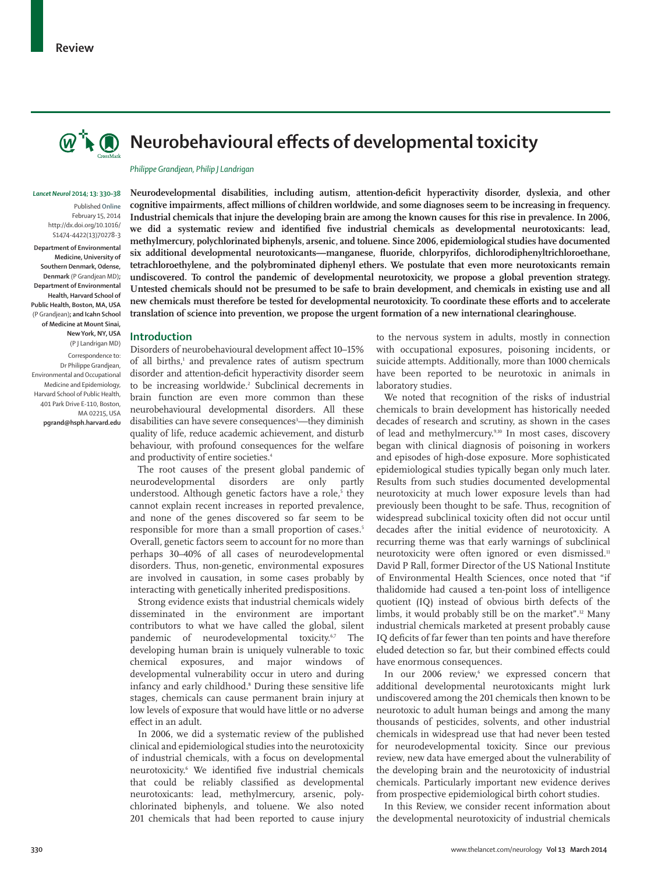

# **M** $\hat{M}$  **Neurobehavioural effects of developmental toxicity**

*Philippe Grandjean, Philip J Landrigan*

#### *Lancet Neurol* **2014; 13: 330–38**

Published **Online** February 15, 2014 http://dx.doi.org/10.1016/ S1474-4422(13)70278-3

**Department of Environmental Medicine, University of Southern Denmark, Odense, Denmark** (P Grandjean MD)**; Department of Environmental Health, Harvard School of Public Health, Boston, MA, USA** (P Grandjean)**; and Icahn School of Medicine at Mount Sinai, New York, NY, USA**

(P J Landrigan MD)

Correspondence to: Dr Philippe Grandjean, Environmental and Occupational Medicine and Epidemiology, Harvard School of Public Health, 401 Park Drive E-110, Boston, MA 02215, USA **pgrand@hsph.harvard.edu**

Neurodevelopmental disabilities, including autism, attention-deficit hyperactivity disorder, dyslexia, and other cognitive impairments, affect millions of children worldwide, and some diagnoses seem to be increasing in frequency. **Industrial chemicals that injure the developing brain are among the known causes for this rise in prevalence. In 2006,**  we did a systematic review and identified five industrial chemicals as developmental neurotoxicants: lead, **methylmercury, polychlorinated biphenyls, arsenic, and toluene. Since 2006, epidemiological studies have documented six additional developmental neurotoxicants—manganese, fl uoride, chlorpyrifos, dichlorodiphenyltrichloroethane, tetrachloroethylene, and the polybrominated diphenyl ethers. We postulate that even more neurotoxicants remain undiscovered. To control the pandemic of developmental neurotoxicity, we propose a global prevention strategy. Untested chemicals should not be presumed to be safe to brain development, and chemicals in existing use and all**  new chemicals must therefore be tested for developmental neurotoxicity. To coordinate these efforts and to accelerate **translation of science into prevention, we propose the urgent formation of a new international clearinghouse.**

#### **Introduction**

Disorders of neurobehavioural development affect 10-15% of all births,<sup>1</sup> and prevalence rates of autism spectrum disorder and attention-deficit hyperactivity disorder seem to be increasing worldwide.<sup>2</sup> Subclinical decrements in brain function are even more common than these neurobehavioural developmental disorders. All these disabilities can have severe consequences<sup>3</sup>—they diminish quality of life, reduce academic achievement, and disturb behaviour, with profound consequences for the welfare and productivity of entire societies.<sup>4</sup>

The root causes of the present global pandemic of neurodevelopmental disorders are only partly understood. Although genetic factors have a role,<sup>5</sup> they cannot explain recent increases in reported prevalence, and none of the genes discovered so far seem to be responsible for more than a small proportion of cases.<sup>5</sup> Overall, genetic factors seem to account for no more than perhaps 30–40% of all cases of neurodevelopmental disorders. Thus, non-genetic, environmental exposures are involved in causation, in some cases probably by interacting with genetically inherited predispositions.

Strong evidence exists that industrial chemicals widely disseminated in the environment are important contributors to what we have called the global, silent pandemic of neurodevelopmental toxicity.<sup>6,7</sup> The developing human brain is uniquely vulnerable to toxic chemical exposures, and major windows of developmental vulnerability occur in utero and during infancy and early childhood.8 During these sensitive life stages, chemicals can cause permanent brain injury at low levels of exposure that would have little or no adverse effect in an adult.

In 2006, we did a systematic review of the published clinical and epidemiological studies into the neurotoxicity of industrial chemicals, with a focus on developmental neurotoxicity.<sup>6</sup> We identified five industrial chemicals that could be reliably classified as developmental neurotoxicants: lead, methylmercury, arsenic, polychlorinated biphenyls, and toluene. We also noted 201 chemicals that had been reported to cause injury

to the nervous system in adults, mostly in connection with occupational exposures, poisoning incidents, or suicide attempts. Additionally, more than 1000 chemicals have been reported to be neurotoxic in animals in laboratory studies.

We noted that recognition of the risks of industrial chemicals to brain development has historically needed decades of research and scrutiny, as shown in the cases of lead and methylmercury.<sup>9,10</sup> In most cases, discovery began with clinical diagnosis of poisoning in workers and episodes of high-dose exposure. More sophisticated epidemiological studies typically began only much later. Results from such studies documented developmental neurotoxicity at much lower exposure levels than had previously been thought to be safe. Thus, recognition of widespread subclinical toxicity often did not occur until decades after the initial evidence of neurotoxicity. A recurring theme was that early warnings of subclinical neurotoxicity were often ignored or even dismissed.<sup>11</sup> David P Rall, former Director of the US National Institute of Environmental Health Sciences, once noted that "if thalidomide had caused a ten-point loss of intelligence quotient (IQ) instead of obvious birth defects of the limbs, it would probably still be on the market".12 Many industrial chemicals marketed at present probably cause IQ deficits of far fewer than ten points and have therefore eluded detection so far, but their combined effects could have enormous consequences.

In our 2006 review,<sup>6</sup> we expressed concern that additional developmental neurotoxicants might lurk undiscovered among the 201 chemicals then known to be neurotoxic to adult human beings and among the many thousands of pesticides, solvents, and other industrial chemicals in widespread use that had never been tested for neurodevelopmental toxicity. Since our previous review, new data have emerged about the vulnerability of the developing brain and the neurotoxicity of industrial chemicals. Particularly important new evidence derives from prospective epidemiological birth cohort studies.

In this Review, we consider recent information about the developmental neurotoxicity of industrial chemicals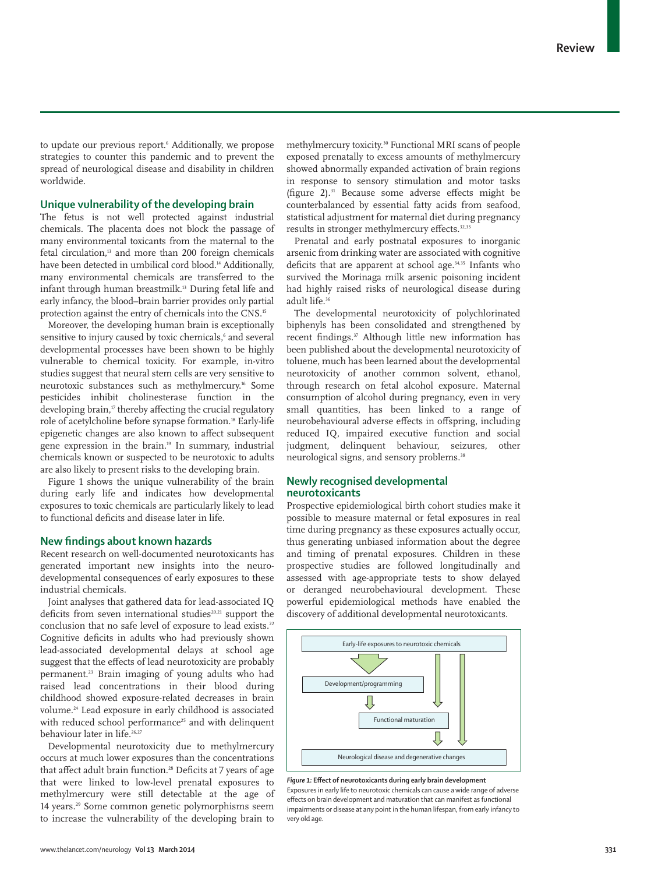to update our previous report.6 Additionally, we propose strategies to counter this pandemic and to prevent the spread of neurological disease and disability in children worldwide.

## **Unique vulnerability of the developing brain**

The fetus is not well protected against industrial chemicals. The placenta does not block the passage of many environmental toxicants from the maternal to the fetal circulation,<sup>13</sup> and more than 200 foreign chemicals have been detected in umbilical cord blood.<sup>14</sup> Additionally, many environmental chemicals are transferred to the infant through human breastmilk.13 During fetal life and early infancy, the blood–brain barrier provides only partial protection against the entry of chemicals into the CNS.15

Moreover, the developing human brain is exceptionally sensitive to injury caused by toxic chemicals,<sup>6</sup> and several developmental processes have been shown to be highly vulnerable to chemical toxicity. For example, in-vitro studies suggest that neural stem cells are very sensitive to neurotoxic substances such as methylmercury.16 Some pesticides inhibit cholinesterase function in the developing brain,<sup>17</sup> thereby affecting the crucial regulatory role of acetylcholine before synapse formation.<sup>18</sup> Early-life epigenetic changes are also known to affect subsequent gene expression in the brain.19 In summary, industrial chemicals known or suspected to be neurotoxic to adults are also likely to present risks to the developing brain.

Figure 1 shows the unique vulnerability of the brain during early life and indicates how developmental exposures to toxic chemicals are particularly likely to lead to functional deficits and disease later in life.

## **New fi ndings about known hazards**

Recent research on well-documented neurotoxicants has generated important new insights into the neurodevelopmental consequences of early exposures to these industrial chemicals.

Joint analyses that gathered data for lead-associated IQ deficits from seven international studies $20,21$  support the conclusion that no safe level of exposure to lead exists.<sup>22</sup> Cognitive deficits in adults who had previously shown lead-associated developmental delays at school age suggest that the effects of lead neurotoxicity are probably permanent.23 Brain imaging of young adults who had raised lead concentrations in their blood during childhood showed exposure-related decreases in brain volume.24 Lead exposure in early childhood is associated with reduced school performance<sup>25</sup> and with delinquent behaviour later in life.<sup>26,27</sup>

Developmental neurotoxicity due to methylmercury occurs at much lower exposures than the concentrations that affect adult brain function.<sup>28</sup> Deficits at 7 years of age that were linked to low-level prenatal exposures to methylmercury were still detectable at the age of 14 years.29 Some common genetic polymorphisms seem to increase the vulnerability of the developing brain to methylmercury toxicity.30 Functional MRI scans of people exposed prenatally to excess amounts of methylmercury showed abnormally expanded activation of brain regions in response to sensory stimulation and motor tasks (figure  $2$ ).<sup>31</sup> Because some adverse effects might be counterbalanced by essential fatty acids from seafood, statistical adjustment for maternal diet during pregnancy results in stronger methylmercury effects.<sup>32,33</sup>

Prenatal and early postnatal exposures to inorganic arsenic from drinking water are associated with cognitive deficits that are apparent at school age. $34,35$  Infants who survived the Morinaga milk arsenic poisoning incident had highly raised risks of neurological disease during adult life.<sup>36</sup>

The developmental neurotoxicity of polychlorinated biphenyls has been consolidated and strengthened by recent findings.<sup>37</sup> Although little new information has been published about the developmental neurotoxicity of toluene, much has been learned about the developmental neurotoxicity of another common solvent, ethanol, through research on fetal alcohol exposure. Maternal consumption of alcohol during pregnancy, even in very small quantities, has been linked to a range of neurobehavioural adverse effects in offspring, including reduced IQ, impaired executive function and social judgment, delinquent behaviour, seizures, other neurological signs, and sensory problems.<sup>38</sup>

## **Newly recognised developmental neurotoxicants**

Prospective epidemiological birth cohort studies make it possible to measure maternal or fetal exposures in real time during pregnancy as these exposures actually occur, thus generating unbiased information about the degree and timing of prenatal exposures. Children in these prospective studies are followed longitudinally and assessed with age-appropriate tests to show delayed or deranged neurobehavioural development. These powerful epidemiological methods have enabled the discovery of additional developmental neurotoxicants.



**Figure 1:** Effect of neurotoxicants during early brain development

Exposures in early life to neurotoxic chemicals can cause a wide range of adverse effects on brain development and maturation that can manifest as functional impairments or disease at any point in the human lifespan, from early infancy to very old age.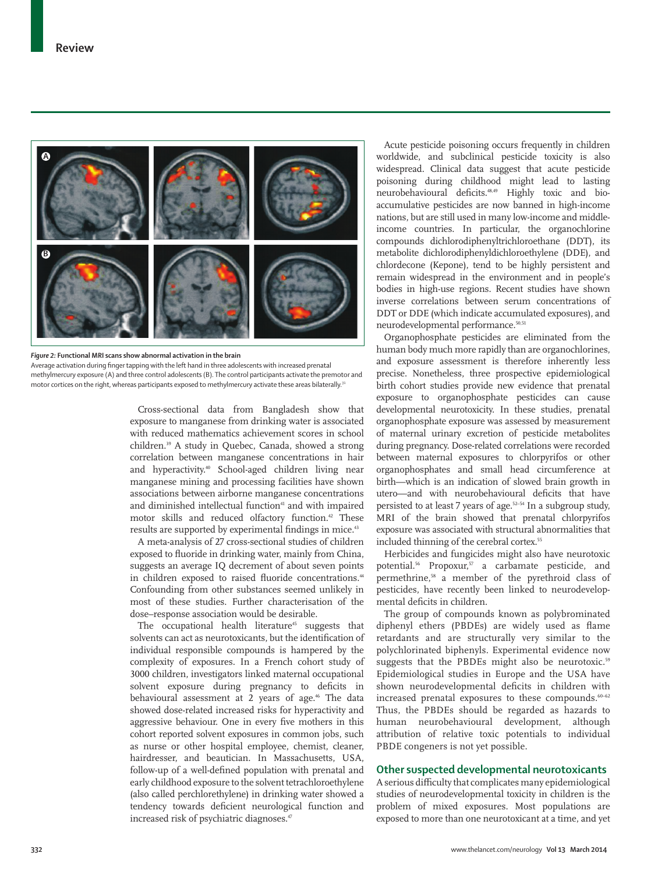

*Figure 2:* **Functional MRI scans show abnormal activation in the brain**

Average activation during finger tapping with the left hand in three adolescents with increased prenatal methylmercury exposure (A) and three control adolescents (B). The control participants activate the premotor and motor cortices on the right, whereas participants exposed to methylmercury activate these areas bilaterally.31

> Cross-sectional data from Bangladesh show that exposure to manganese from drinking water is associated with reduced mathematics achievement scores in school children.39 A study in Quebec, Canada, showed a strong correlation between manganese concentrations in hair and hyperactivity.<sup>40</sup> School-aged children living near manganese mining and processing facilities have shown associations between airborne manganese concentrations and diminished intellectual function<sup>41</sup> and with impaired motor skills and reduced olfactory function.<sup>42</sup> These results are supported by experimental findings in mice.<sup>43</sup>

A meta-analysis of 27 cross-sectional studies of children exposed to fluoride in drinking water, mainly from China, suggests an average IQ decrement of about seven points in children exposed to raised fluoride concentrations.<sup>44</sup> Confounding from other substances seemed unlikely in most of these studies. Further characterisation of the dose–response association would be desirable.

The occupational health literature<sup>45</sup> suggests that solvents can act as neurotoxicants, but the identification of individual responsible compounds is hampered by the complexity of exposures. In a French cohort study of 3000 children, investigators linked maternal occupational solvent exposure during pregnancy to deficits in behavioural assessment at 2 years of age.<sup>46</sup> The data showed dose-related increased risks for hyperactivity and aggressive behaviour. One in every five mothers in this cohort reported solvent exposures in common jobs, such as nurse or other hospital employee, chemist, cleaner, hairdresser, and beautician. In Massachusetts, USA, follow-up of a well-defined population with prenatal and early childhood exposure to the solvent tetrachloroethylene (also called perchlorethylene) in drinking water showed a tendency towards deficient neurological function and increased risk of psychiatric diagnoses.<sup>47</sup>

Acute pesticide poisoning occurs frequently in children worldwide, and subclinical pesticide toxicity is also widespread. Clinical data suggest that acute pesticide poisoning during childhood might lead to lasting neurobehavioural deficits.<sup>48,49</sup> Highly toxic and bioaccumulative pesticides are now banned in high-income nations, but are still used in many low-income and middleincome countries. In particular, the organochlorine compounds dichlorodiphenyltrichloroethane (DDT), its metabolite dichlorodiphenyldichloroethylene (DDE), and chlordecone (Kepone), tend to be highly persistent and remain widespread in the environment and in people's bodies in high-use regions. Recent studies have shown inverse correlations between serum concentrations of DDT or DDE (which indicate accumulated exposures), and neurodevelopmental performance.<sup>50,51</sup>

Organophosphate pesticides are eliminated from the human body much more rapidly than are organochlorines, and exposure assessment is therefore inherently less precise. Nonetheless, three prospective epidemiological birth cohort studies provide new evidence that prenatal exposure to organophosphate pesticides can cause developmental neurotoxicity. In these studies, prenatal organophosphate exposure was assessed by measurement of maternal urinary excretion of pesticide metabolites during pregnancy. Dose-related correlations were recorded between maternal exposures to chlorpyrifos or other organophosphates and small head circumference at birth—which is an indication of slowed brain growth in utero—and with neurobehavioural deficits that have persisted to at least 7 years of age.52–54 In a subgroup study, MRI of the brain showed that prenatal chlorpyrifos exposure was associated with structural abnormalities that included thinning of the cerebral cortex.<sup>55</sup>

Herbicides and fungicides might also have neurotoxic potential.<sup>56</sup> Propoxur,<sup>57</sup> a carbamate pesticide, and permethrine,<sup>58</sup> a member of the pyrethroid class of pesticides, have recently been linked to neurodevelopmental deficits in children.

The group of compounds known as polybrominated diphenyl ethers (PBDEs) are widely used as flame retardants and are structurally very similar to the polychlorinated biphenyls. Experimental evidence now suggests that the PBDEs might also be neurotoxic.<sup>59</sup> Epidemiological studies in Europe and the USA have shown neurodevelopmental deficits in children with increased prenatal exposures to these compounds. $60-62$ Thus, the PBDEs should be regarded as hazards to human neurobehavioural development, although attribution of relative toxic potentials to individual PBDE congeners is not yet possible.

# **Other suspected developmental neurotoxicants**

A serious difficulty that complicates many epidemiological studies of neurodevelopmental toxicity in children is the problem of mixed exposures. Most populations are exposed to more than one neurotoxicant at a time, and yet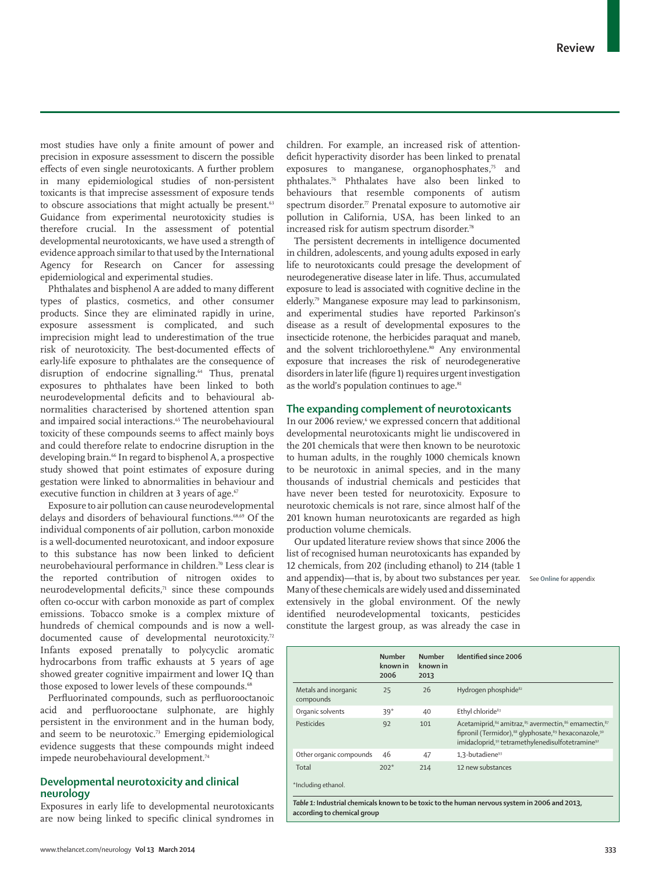most studies have only a finite amount of power and precision in exposure assessment to discern the possible effects of even single neurotoxicants. A further problem in many epidemiological studies of non-persistent toxicants is that imprecise assessment of exposure tends to obscure associations that might actually be present.<sup>63</sup> Guidance from experimental neurotoxicity studies is therefore crucial. In the assessment of potential developmental neurotoxicants, we have used a strength of evidence approach similar to that used by the International Agency for Research on Cancer for assessing epidemiological and experimental studies.

Phthalates and bisphenol A are added to many different types of plastics, cosmetics, and other consumer products. Since they are eliminated rapidly in urine, exposure assessment is complicated, and such imprecision might lead to underestimation of the true risk of neurotoxicity. The best-documented effects of early-life exposure to phthalates are the consequence of disruption of endocrine signalling.<sup>64</sup> Thus, prenatal exposures to phthalates have been linked to both neurodevelopmental deficits and to behavioural abnormalities characterised by shortened attention span and impaired social interactions.<sup>65</sup> The neurobehavioural toxicity of these compounds seems to affect mainly boys and could therefore relate to endocrine disruption in the developing brain.<sup>66</sup> In regard to bisphenol A, a prospective study showed that point estimates of exposure during gestation were linked to abnormalities in behaviour and executive function in children at 3 years of age.<sup>67</sup>

Exposure to air pollution can cause neurodevelopmental delays and disorders of behavioural functions.<sup>68,69</sup> Of the individual components of air pollution, carbon monoxide is a well-documented neurotoxicant, and indoor exposure to this substance has now been linked to deficient neurobehavioural performance in children.70 Less clear is the reported contribution of nitrogen oxides to neurodevelopmental deficits, $71$  since these compounds often co-occur with carbon monoxide as part of complex emissions. Tobacco smoke is a complex mixture of hundreds of chemical compounds and is now a welldocumented cause of developmental neurotoxicity.<sup>72</sup> Infants exposed prenatally to polycyclic aromatic hydrocarbons from traffic exhausts at 5 years of age showed greater cognitive impairment and lower IQ than those exposed to lower levels of these compounds.<sup>68</sup>

Perfluorinated compounds, such as perfluorooctanoic acid and perfluorooctane sulphonate, are highly persistent in the environment and in the human body, and seem to be neurotoxic.73 Emerging epidemiological evidence suggests that these compounds might indeed impede neurobehavioural development.<sup>74</sup>

# **Developmental neurotoxicity and clinical neurology**

Exposures in early life to developmental neurotoxicants are now being linked to specific clinical syndromes in children. For example, an increased risk of attentiondeficit hyperactivity disorder has been linked to prenatal exposures to manganese, organophosphates,<sup>75</sup> and phthalates.76 Phthalates have also been linked to behaviours that resemble components of autism spectrum disorder. $\pi$  Prenatal exposure to automotive air pollution in California, USA, has been linked to an increased risk for autism spectrum disorder.<sup>78</sup>

The persistent decrements in intelligence documented in children, adolescents, and young adults exposed in early life to neurotoxicants could presage the development of neurodegenerative disease later in life. Thus, accumulated exposure to lead is associated with cognitive decline in the elderly.79 Manganese exposure may lead to parkinsonism, and experimental studies have reported Parkinson's disease as a result of developmental exposures to the insecticide rotenone, the herbicides paraquat and maneb, and the solvent trichloroethylene.<sup>80</sup> Any environmental exposure that increases the risk of neurodegenerative disorders in later life (figure 1) requires urgent investigation as the world's population continues to age.<sup>81</sup>

#### **The expanding complement of neurotoxicants**

In our 2006 review,<sup>6</sup> we expressed concern that additional developmental neurotoxicants might lie undiscovered in the 201 chemicals that were then known to be neurotoxic to human adults, in the roughly 1000 chemicals known to be neurotoxic in animal species, and in the many thousands of industrial chemicals and pesticides that have never been tested for neurotoxicity. Exposure to neurotoxic chemicals is not rare, since almost half of the 201 known human neurotoxicants are regarded as high production volume chemicals.

Our updated literature review shows that since 2006 the list of recognised human neurotoxicants has expanded by 12 chemicals, from 202 (including ethanol) to 214 (table 1 and appendix)—that is, by about two substances per year. See **Online** for appendixMany of these chemicals are widely used and disseminated extensively in the global environment. Of the newly identified neurodevelopmental toxicants, pesticides constitute the largest group, as was already the case in

|                                   | <b>Number</b><br>known in<br>2006 | <b>Number</b><br>known in<br>2013 | Identified since 2006                                                                                                                                                                                                            |
|-----------------------------------|-----------------------------------|-----------------------------------|----------------------------------------------------------------------------------------------------------------------------------------------------------------------------------------------------------------------------------|
| Metals and inorganic<br>compounds | 25                                | 26                                | Hydrogen phosphide <sup>82</sup>                                                                                                                                                                                                 |
| Organic solvents                  | $39*$                             | 40                                | Ethyl chloride <sup>83</sup>                                                                                                                                                                                                     |
| Pesticides                        | 92                                | 101                               | Acetamiprid, 84 amitraz, 85 avermectin, 86 emamectin, 87<br>fipronil (Termidor), <sup>88</sup> qlyphosate, <sup>89</sup> hexaconazole, <sup>90</sup><br>imidacloprid, <sup>91</sup> tetramethylenedisulfotetramine <sup>92</sup> |
| Other organic compounds           | 46                                | 47                                | 1,3-butadiene <sup>93</sup>                                                                                                                                                                                                      |
| Total                             | $202*$                            | 214                               | 12 new substances                                                                                                                                                                                                                |
| *Including ethanol.               |                                   |                                   |                                                                                                                                                                                                                                  |
| according to chemical group       |                                   |                                   | Table 1: Industrial chemicals known to be toxic to the human nervous system in 2006 and 2013,                                                                                                                                    |

www.thelancet.com/neurology Vol 13 March 2014 3333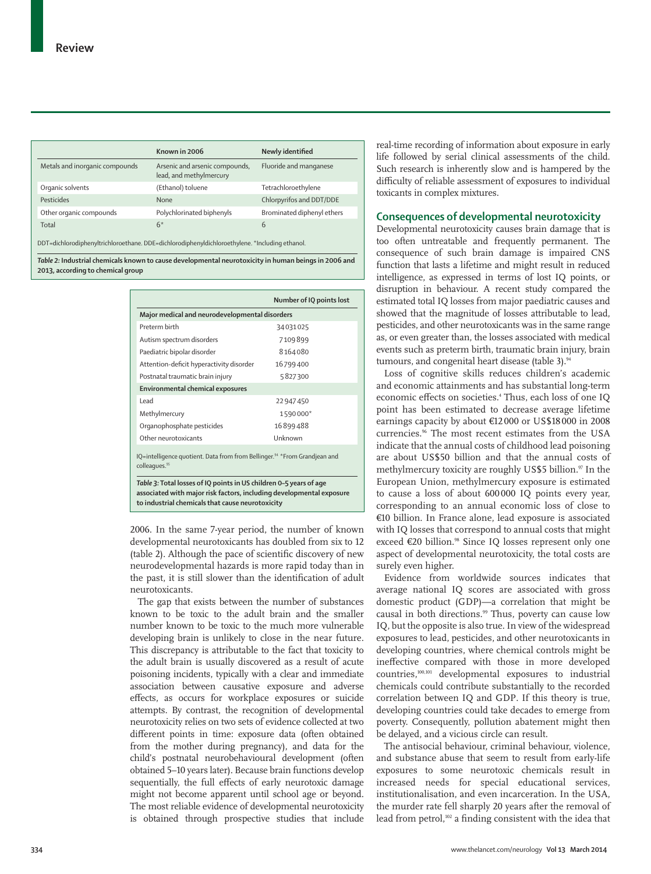|                                | Known in 2006                                             | Newly identified           |
|--------------------------------|-----------------------------------------------------------|----------------------------|
| Metals and inorganic compounds | Arsenic and arsenic compounds,<br>lead, and methylmercury | Fluoride and manganese     |
| Organic solvents               | (Ethanol) toluene                                         | Tetrachloroethylene        |
| Pesticides                     | None                                                      | Chlorpyrifos and DDT/DDE   |
| Other organic compounds        | Polychlorinated biphenyls                                 | Brominated diphenyl ethers |
| Total                          | $6*$                                                      | 6                          |

DDT=dichlorodiphenyltrichloroethane. DDE=dichlorodiphenyldichloroethylene. \*Including ethanol.

*Table 2:* **Industrial chemicals known to cause developmental neurotoxicity in human beings in 2006 and 2013, according to chemical group**

|                                                                                                                                                                                                | Number of IQ points lost |  |  |  |
|------------------------------------------------------------------------------------------------------------------------------------------------------------------------------------------------|--------------------------|--|--|--|
| Major medical and neurodevelopmental disorders                                                                                                                                                 |                          |  |  |  |
| Preterm hirth                                                                                                                                                                                  | 34031025                 |  |  |  |
| Autism spectrum disorders                                                                                                                                                                      | 7109899                  |  |  |  |
| Paediatric bipolar disorder                                                                                                                                                                    | 8164080                  |  |  |  |
| Attention-deficit hyperactivity disorder                                                                                                                                                       | 16799400                 |  |  |  |
| Postnatal traumatic brain injury                                                                                                                                                               | 5827300                  |  |  |  |
| Environmental chemical exposures                                                                                                                                                               |                          |  |  |  |
| hea l                                                                                                                                                                                          | 22 947 450               |  |  |  |
| Methylmercury                                                                                                                                                                                  | 1590000*                 |  |  |  |
| Organophosphate pesticides                                                                                                                                                                     | 16899488                 |  |  |  |
| Other neurotoxicants                                                                                                                                                                           | <b>Unknown</b>           |  |  |  |
| IQ=intelligence quotient. Data from from Bellinger. <sup>94</sup> *From Grandjean and<br>colleagues. <sup>95</sup>                                                                             |                          |  |  |  |
| Table 3: Total losses of IQ points in US children 0-5 years of age<br>associated with major risk factors, including developmental exposure<br>to industrial chemicals that cause neurotoxicity |                          |  |  |  |

2006. In the same 7-year period, the number of known developmental neurotoxicants has doubled from six to 12 (table 2). Although the pace of scientific discovery of new neurodevelopmental hazards is more rapid today than in the past, it is still slower than the identification of adult neurotoxicants.

The gap that exists between the number of substances known to be toxic to the adult brain and the smaller number known to be toxic to the much more vulnerable developing brain is unlikely to close in the near future. This discrepancy is attributable to the fact that toxicity to the adult brain is usually discovered as a result of acute poisoning incidents, typically with a clear and immediate association between causative exposure and adverse effects, as occurs for workplace exposures or suicide attempts. By contrast, the recognition of developmental neurotoxicity relies on two sets of evidence collected at two different points in time: exposure data (often obtained from the mother during pregnancy), and data for the child's postnatal neurobehavioural development (often obtained 5–10 years later). Because brain functions develop sequentially, the full effects of early neurotoxic damage might not become apparent until school age or beyond. The most reliable evidence of developmental neurotoxicity is obtained through prospective studies that include real-time recording of information about exposure in early life followed by serial clinical assessments of the child. Such research is inherently slow and is hampered by the difficulty of reliable assessment of exposures to individual toxicants in complex mixtures.

### **Consequences of developmental neurotoxicity**

Developmental neurotoxicity causes brain damage that is too often untreatable and frequently permanent. The consequence of such brain damage is impaired CNS function that lasts a lifetime and might result in reduced intelligence, as expressed in terms of lost IQ points, or disruption in behaviour. A recent study compared the estimated total IQ losses from major paediatric causes and showed that the magnitude of losses attributable to lead, pesticides, and other neurotoxicants was in the same range as, or even greater than, the losses associated with medical events such as preterm birth, traumatic brain injury, brain tumours, and congenital heart disease (table 3).<sup>94</sup>

Loss of cognitive skills reduces children's academic and economic attainments and has substantial long-term economic effects on societies.<sup>4</sup> Thus, each loss of one IQ point has been estimated to decrease average lifetime earnings capacity by about €12 000 or US\$18 000 in 2008 currencies.96 The most recent estimates from the USA indicate that the annual costs of childhood lead poisoning are about US\$50 billion and that the annual costs of methylmercury toxicity are roughly US\$5 billion. $^{\mathrm{y}}$  In the European Union, methylmercury exposure is estimated to cause a loss of about 600 000 IQ points every year, corresponding to an annual economic loss of close to €10 billion. In France alone, lead exposure is associated with IQ losses that correspond to annual costs that might exceed €20 billion.<sup>98</sup> Since IQ losses represent only one aspect of developmental neurotoxicity, the total costs are surely even higher.

Evidence from worldwide sources indicates that average national IQ scores are associated with gross domestic product (GDP)—a correlation that might be causal in both directions.<sup>99</sup> Thus, poverty can cause low IQ, but the opposite is also true. In view of the widespread exposures to lead, pesticides, and other neurotoxicants in developing countries, where chemical controls might be ineffective compared with those in more developed countries,100,101 developmental exposures to industrial chemicals could contribute substantially to the recorded correlation between IQ and GDP. If this theory is true, developing countries could take decades to emerge from poverty. Consequently, pollution abatement might then be delayed, and a vicious circle can result.

The antisocial behaviour, criminal behaviour, violence, and substance abuse that seem to result from early-life exposures to some neurotoxic chemicals result in increased needs for special educational services, institutionalisation, and even incarceration. In the USA, the murder rate fell sharply 20 years after the removal of lead from petrol,<sup>102</sup> a finding consistent with the idea that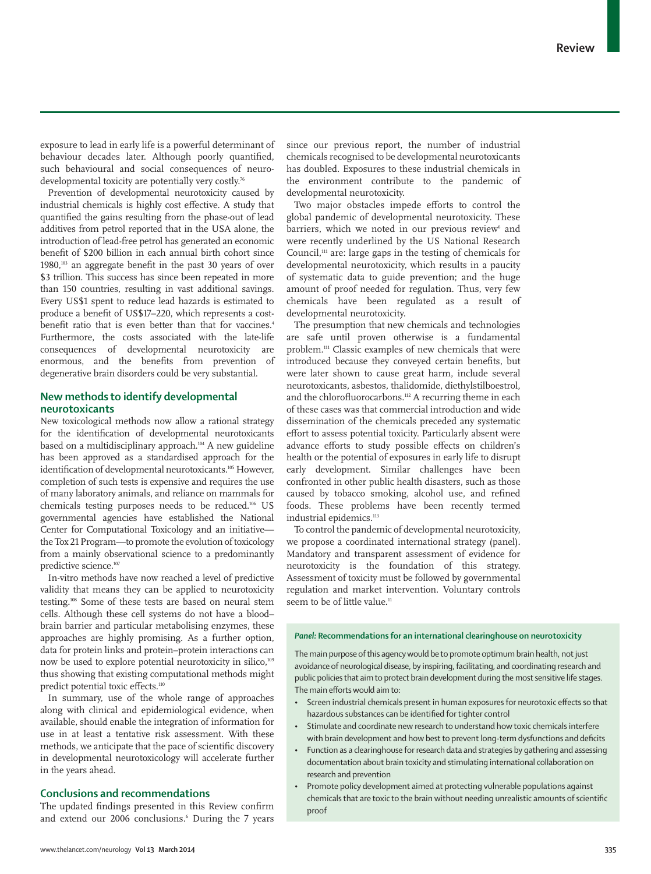exposure to lead in early life is a powerful determinant of behaviour decades later. Although poorly quantified, such behavioural and social consequences of neurodevelopmental toxicity are potentially very costly.<sup>76</sup>

Prevention of developmental neurotoxicity caused by industrial chemicals is highly cost effective. A study that quantified the gains resulting from the phase-out of lead additives from petrol reported that in the USA alone, the introduction of lead-free petrol has generated an economic benefit of \$200 billion in each annual birth cohort since  $1980$ ,<sup>103</sup> an aggregate benefit in the past 30 years of over \$3 trillion. This success has since been repeated in more than 150 countries, resulting in vast additional savings. Every US\$1 spent to reduce lead hazards is estimated to produce a benefit of US\$17-220, which represents a costbenefit ratio that is even better than that for vaccines.<sup>4</sup> Furthermore, the costs associated with the late-life consequences of developmental neurotoxicity are enormous, and the benefits from prevention of degenerative brain disorders could be very substantial.

## **New methods to identify developmental neurotoxicants**

New toxicological methods now allow a rational strategy for the identification of developmental neurotoxicants based on a multidisciplinary approach.<sup>104</sup> A new guideline has been approved as a standardised approach for the identification of developmental neurotoxicants.<sup>105</sup> However, completion of such tests is expensive and requires the use of many laboratory animals, and reliance on mammals for chemicals testing purposes needs to be reduced.106 US governmental agencies have established the National Center for Computational Toxicology and an initiative the Tox 21 Program—to promote the evolution of toxicology from a mainly observational science to a predominantly predictive science.107

In-vitro methods have now reached a level of predictive validity that means they can be applied to neurotoxicity testing.108 Some of these tests are based on neural stem cells. Although these cell systems do not have a blood– brain barrier and particular metabolising enzymes, these approaches are highly promising. As a further option, data for protein links and protein–protein interactions can now be used to explore potential neurotoxicity in silico,<sup>109</sup> thus showing that existing computational methods might predict potential toxic effects.<sup>110</sup>

In summary, use of the whole range of approaches along with clinical and epidemiological evidence, when available, should enable the integration of information for use in at least a tentative risk assessment. With these methods, we anticipate that the pace of scientific discovery in developmental neurotoxicology will accelerate further in the years ahead.

# **Conclusions and recommendations**

The updated findings presented in this Review confirm and extend our 2006 conclusions.6 During the 7 years since our previous report, the number of industrial chemicals recognised to be developmental neurotoxicants has doubled. Exposures to these industrial chemicals in the environment contribute to the pandemic of developmental neurotoxicity.

Two major obstacles impede efforts to control the global pandemic of developmental neurotoxicity. These barriers, which we noted in our previous review<sup>6</sup> and were recently underlined by the US National Research Council, $111$  are: large gaps in the testing of chemicals for developmental neurotoxicity, which results in a paucity of systematic data to guide prevention; and the huge amount of proof needed for regulation. Thus, very few chemicals have been regulated as a result of developmental neurotoxicity.

The presumption that new chemicals and technologies are safe until proven otherwise is a fundamental problem.111 Classic examples of new chemicals that were introduced because they conveyed certain benefits, but were later shown to cause great harm, include several neurotoxicants, asbestos, thalidomide, diethylstilboestrol, and the chlorofluorocarbons.<sup>112</sup> A recurring theme in each of these cases was that commercial introduction and wide dissemination of the chemicals preceded any systematic effort to assess potential toxicity. Particularly absent were advance efforts to study possible effects on children's health or the potential of exposures in early life to disrupt early development. Similar challenges have been confronted in other public health disasters, such as those caused by tobacco smoking, alcohol use, and refined foods. These problems have been recently termed industrial epidemics.<sup>113</sup>

To control the pandemic of developmental neurotoxicity, we propose a coordinated international strategy (panel). Mandatory and transparent assessment of evidence for neurotoxicity is the foundation of this strategy. Assessment of toxicity must be followed by governmental regulation and market intervention. Voluntary controls seem to be of little value.<sup>11</sup>

#### *Panel:* **Recommendations for an international clearinghouse on neurotoxicity**

The main purpose of this agency would be to promote optimum brain health, not just avoidance of neurological disease, by inspiring, facilitating, and coordinating research and public policies that aim to protect brain development during the most sensitive life stages. The main efforts would aim to:

- Screen industrial chemicals present in human exposures for neurotoxic effects so that hazardous substances can be identified for tighter control
- Stimulate and coordinate new research to understand how toxic chemicals interfere with brain development and how best to prevent long-term dysfunctions and deficits
- Function as a clearinghouse for research data and strategies by gathering and assessing documentation about brain toxicity and stimulating international collaboration on research and prevention
- Promote policy development aimed at protecting vulnerable populations against chemicals that are toxic to the brain without needing unrealistic amounts of scientific proof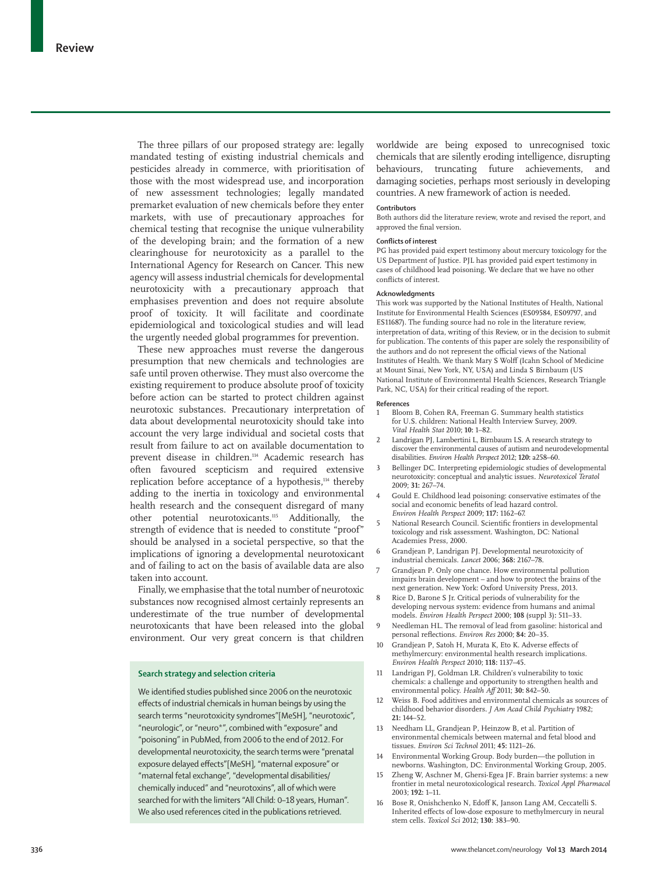The three pillars of our proposed strategy are: legally mandated testing of existing industrial chemicals and pesticides already in commerce, with prioritisation of those with the most widespread use, and incorporation of new assessment technologies; legally mandated premarket evaluation of new chemicals before they enter markets, with use of precautionary approaches for chemical testing that recognise the unique vulnerability of the developing brain; and the formation of a new clearinghouse for neurotoxicity as a parallel to the International Agency for Research on Cancer. This new agency will assess industrial chemicals for developmental neurotoxicity with a precautionary approach that emphasises prevention and does not require absolute proof of toxicity. It will facilitate and coordinate epidemiological and toxicological studies and will lead the urgently needed global programmes for prevention.

These new approaches must reverse the dangerous presumption that new chemicals and technologies are safe until proven otherwise. They must also overcome the existing requirement to produce absolute proof of toxicity before action can be started to protect children against neurotoxic substances. Precautionary interpretation of data about developmental neurotoxicity should take into account the very large individual and societal costs that result from failure to act on available documentation to prevent disease in children.<sup>114</sup> Academic research has often favoured scepticism and required extensive replication before acceptance of a hypothesis,114 thereby adding to the inertia in toxicology and environmental health research and the consequent disregard of many other potential neurotoxicants.115 Additionally, the strength of evidence that is needed to constitute "proof" should be analysed in a societal perspective, so that the implications of ignoring a developmental neurotoxicant and of failing to act on the basis of available data are also taken into account.

Finally, we emphasise that the total number of neurotoxic substances now recognised almost certainly represents an underestimate of the true number of developmental neurotoxicants that have been released into the global environment. Our very great concern is that children

#### **Search strategy and selection criteria**

We identified studies published since 2006 on the neurotoxic effects of industrial chemicals in human beings by using the search terms "neurotoxicity syndromes"[MeSH], "neurotoxic", "neurologic", or "neuro\*", combined with "exposure" and "poisoning" in PubMed, from 2006 to the end of 2012. For developmental neurotoxicity, the search terms were "prenatal exposure delayed effects"[MeSH], "maternal exposure" or "maternal fetal exchange", "developmental disabilities/ chemically induced" and "neurotoxins", all of which were searched for with the limiters "All Child: 0–18 years, Human". We also used references cited in the publications retrieved.

worldwide are being exposed to unrecognised toxic chemicals that are silently eroding intelligence, disrupting behaviours, truncating future achievements, and damaging societies, perhaps most seriously in developing countries. A new framework of action is needed.

# **Contributors**

Both authors did the literature review, wrote and revised the report, and approved the final version.

#### **Conflicts of interest**

PG has provided paid expert testimony about mercury toxicology for the US Department of Justice. PJL has provided paid expert testimony in cases of childhood lead poisoning. We declare that we have no other conflicts of interest.

#### **Acknowledgments**

This work was supported by the National Institutes of Health, National Institute for Environmental Health Sciences (ES09584, ES09797, and ES11687). The funding source had no role in the literature review, interpretation of data, writing of this Review, or in the decision to submit for publication. The contents of this paper are solely the responsibility of the authors and do not represent the official views of the National Institutes of Health. We thank Mary S Wolff (Icahn School of Medicine at Mount Sinai, New York, NY, USA) and Linda S Birnbaum (US National Institute of Environmental Health Sciences, Research Triangle Park, NC, USA) for their critical reading of the report.

#### **References**

- 1 Bloom B, Cohen RA, Freeman G. Summary health statistics for U.S. children: National Health Interview Survey, 2009. *Vital Health Stat* 2010; **10:** 1–82.
- 2 Landrigan PJ, Lambertini L, Birnbaum LS. A research strategy to discover the environmental causes of autism and neurodevelopmental disabilities. *Environ Health Perspect* 2012; **120:** a258–60.
- 3 Bellinger DC. Interpreting epidemiologic studies of developmental neurotoxicity: conceptual and analytic issues. *Neurotoxicol Teratol* 2009; **31:** 267–74.
- 4 Gould E. Childhood lead poisoning: conservative estimates of the social and economic benefits of lead hazard control. *Environ Health Perspect* 2009; **117:** 1162–67.
- National Research Council. Scientific frontiers in developmental toxicology and risk assessment. Washington, DC: National Academies Press, 2000.
- 6 Grandjean P, Landrigan PJ. Developmental neurotoxicity of industrial chemicals. *Lancet* 2006; **368:** 2167–78.
- 7 Grandjean P. Only one chance. How environmental pollution impairs brain development – and how to protect the brains of the next generation. New York: Oxford University Press, 2013.
- Rice D, Barone S Jr. Critical periods of vulnerability for the developing nervous system: evidence from humans and animal models. *Environ Health Perspect* 2000; **108** (suppl 3)**:** 511–33.
- 9 Needleman HL. The removal of lead from gasoline: historical and personal reflections. *Environ Res* 2000; 84: 20-35.
- 10 Grandjean P, Satoh H, Murata K, Eto K. Adverse effects of methylmercury: environmental health research implications. *Environ Health Perspect* 2010; **118:** 1137–45.
- Landrigan PJ, Goldman LR. Children's vulnerability to toxic chemicals: a challenge and opportunity to strengthen health and environmental policy. *Health Aff* 2011; **30:** 842–50.
- 12 Weiss B. Food additives and environmental chemicals as sources of childhood behavior disorders. *J Am Acad Child Psychiatry* 1982; **21:** 144–52.
- 13 Needham LL, Grandjean P, Heinzow B, et al. Partition of environmental chemicals between maternal and fetal blood and tissues. *Environ Sci Technol* 2011; **45:** 1121–26.
- 14 Environmental Working Group. Body burden—the pollution in newborns. Washington, DC: Environmental Working Group, 2005.
- 15 Zheng W, Aschner M, Ghersi-Egea JF. Brain barrier systems: a new frontier in metal neurotoxicological research. *Toxicol Appl Pharmacol* 2003; **192:** 1–11.
- 16 Bose R, Onishchenko N, Edoff K, Janson Lang AM, Ceccatelli S. Inherited effects of low-dose exposure to methylmercury in neural stem cells. *Toxicol Sci* 2012; **130:** 383–90.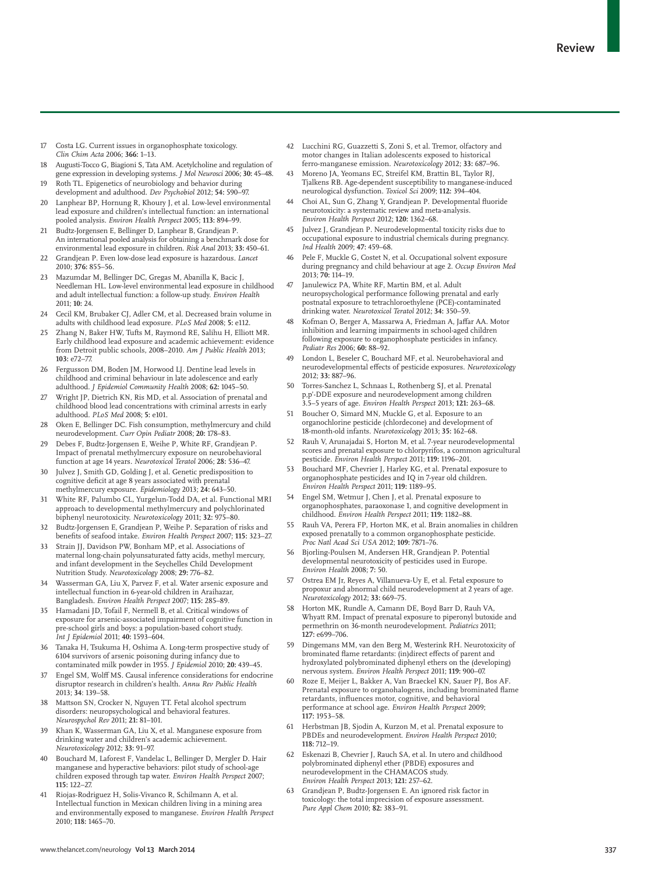- 17 Costa LG. Current issues in organophosphate toxicology. *Clin Chim Acta* 2006; **366:** 1–13.
- 18 Augusti-Tocco G, Biagioni S, Tata AM. Acetylcholine and regulation of gene expression in developing systems. *J Mol Neurosci* 2006; **30:** 45–48.
- Roth TL. Epigenetics of neurobiology and behavior during development and adulthood. *Dev Psychobiol* 2012; **54:** 590–97.
- 20 Lanphear BP, Hornung R, Khoury J, et al. Low-level environmental lead exposure and children's intellectual function: an international pooled analysis. *Environ Health Perspect* 2005; **113:** 894–99.
- 21 Budtz-Jorgensen E, Bellinger D, Lanphear B, Grandjean P. An international pooled analysis for obtaining a benchmark dose for environmental lead exposure in children. *Risk Anal* 2013; **33:** 450–61.
- 22 Grandjean P. Even low-dose lead exposure is hazardous. *Lancet* 2010; **376:** 855–56.
- 23 Mazumdar M, Bellinger DC, Gregas M, Abanilla K, Bacic J, Needleman HL. Low-level environmental lead exposure in childhood and adult intellectual function: a follow-up study. *Environ Health* 2011; **10:** 24.
- 24 Cecil KM, Brubaker CJ, Adler CM, et al. Decreased brain volume in adults with childhood lead exposure. *PLoS Med* 2008; **5:** e112.
- Zhang N, Baker HW, Tufts M, Raymond RE, Salihu H, Elliott MR. Early childhood lead exposure and academic achievement: evidence from Detroit public schools, 2008–2010. *Am J Public Health* 2013; **103:** e72–77.
- Fergusson DM, Boden JM, Horwood LJ. Dentine lead levels in childhood and criminal behaviour in late adolescence and early adulthood. *J Epidemiol Community Health* 2008; **62:** 1045–50.
- 27 Wright JP, Dietrich KN, Ris MD, et al. Association of prenatal and childhood blood lead concentrations with criminal arrests in early adulthood. *PLoS Med* 2008; **5:** e101.
- 28 Oken E, Bellinger DC. Fish consumption, methylmercury and child neurodevelopment. *Curr Opin Pediatr* 2008; **20:** 178–83.
- 29 Debes F, Budtz-Jorgensen E, Weihe P, White RF, Grandjean P. Impact of prenatal methylmercury exposure on neurobehavioral function at age 14 years. *Neurotoxicol Teratol* 2006; **28:** 536–47.
- Julvez J, Smith GD, Golding J, et al. Genetic predisposition to cognitive deficit at age 8 years associated with prenatal methylmercury exposure. *Epidemiology* 2013; **24:** 643–50.
- 31 White RF, Palumbo CL, Yurgelun-Todd DA, et al. Functional MRI approach to developmental methylmercury and polychlorinated biphenyl neurotoxicity. *Neurotoxicology* 2011; **32:** 975–80.
- 32 Budtz-Jorgensen E, Grandjean P, Weihe P. Separation of risks and benefits of seafood intake. *Environ Health Perspect* 2007; 115: 323-27.
- 33 Strain JJ, Davidson PW, Bonham MP, et al. Associations of maternal long-chain polyunsaturated fatty acids, methyl mercury, and infant development in the Seychelles Child Development Nutrition Study. *Neurotoxicology* 2008; **29:** 776–82.
- 34 Wasserman GA, Liu X, Parvez F, et al. Water arsenic exposure and intellectual function in 6-year-old children in Araihazar, Bangladesh. *Environ Health Perspect* 2007; **115:** 285–89.
- 35 Hamadani JD, Tofail F, Nermell B, et al. Critical windows of exposure for arsenic-associated impairment of cognitive function in pre-school girls and boys: a population-based cohort study. *Int J Epidemiol* 2011; **40:** 1593–604.
- 36 Tanaka H, Tsukuma H, Oshima A. Long-term prospective study of 6104 survivors of arsenic poisoning during infancy due to contaminated milk powder in 1955. *J Epidemiol* 2010; **20:** 439–45.
- Engel SM, Wolff MS. Causal inference considerations for endocrine disruptor research in children's health. *Annu Rev Public Health* 2013; **34**: 139–58.
- 38 Mattson SN, Crocker N, Nguyen TT. Fetal alcohol spectrum disorders: neuropsychological and behavioral features. *Neurospychol Rev* 2011; **21:** 81–101.
- Khan K, Wasserman GA, Liu X, et al. Manganese exposure from drinking water and children's academic achievement. *Neurotoxicology* 2012; **33:** 91–97.
- 40 Bouchard M, Laforest F, Vandelac L, Bellinger D, Mergler D. Hair manganese and hyperactive behaviors: pilot study of school-age children exposed through tap water. *Environ Health Perspect* 2007; **115:** 122–27.
- 41 Riojas-Rodriguez H, Solis-Vivanco R, Schilmann A, et al. Intellectual function in Mexican children living in a mining area and environmentally exposed to manganese. *Environ Health Perspect* 2010; **118:** 1465–70.
- 42 Lucchini RG, Guazzetti S, Zoni S, et al. Tremor, olfactory and motor changes in Italian adolescents exposed to historical ferro-manganese emission. *Neurotoxicology* 2012; **33:** 687–96.
- 43 Moreno JA, Yeomans EC, Streifel KM, Brattin BL, Taylor RJ Tjalkens RB. Age-dependent susceptibility to manganese-induced neurological dysfunction. *Toxicol Sci* 2009; **112:** 394–404.
- 44 Choi AL, Sun G, Zhang Y, Grandjean P. Developmental fluoride neurotoxicity: a systematic review and meta-analysis. *Environ Health Perspect* 2012; **120:** 1362–68.
- Julvez J, Grandjean P. Neurodevelopmental toxicity risks due to occupational exposure to industrial chemicals during pregnancy. *Ind Health* 2009; **47:** 459–68.
- 46 Pele F, Muckle G, Costet N, et al. Occupational solvent exposure during pregnancy and child behaviour at age 2. *Occup Environ Med* 2013; **70:** 114–19.
- Janulewicz PA, White RF, Martin BM, et al. Adult neuropsychological performance following prenatal and early postnatal exposure to tetrachloroethylene (PCE)-contaminated drinking water. *Neurotoxicol Teratol* 2012; **34:** 350–59.
- 48 Kofman O, Berger A, Massarwa A, Friedman A, Jaffar AA, Motor inhibition and learning impairments in school-aged children following exposure to organophosphate pesticides in infancy. *Pediatr Res* 2006; **60:** 88–92.
- London L, Beseler C, Bouchard MF, et al. Neurobehavioral and neurodevelopmental effects of pesticide exposures. *Neurotoxicology* 2012; **33:** 887–96.
- 50 Torres-Sanchez L, Schnaas L, Rothenberg SJ, et al. Prenatal p,p'-DDE exposure and neurodevelopment among children 3.5–5 years of age. *Environ Health Perspect* 2013; **121:** 263–68.
- 51 Boucher O, Simard MN, Muckle G, et al. Exposure to an organochlorine pesticide (chlordecone) and development of 18-month-old infants. *Neurotoxicology* 2013; **35:** 162–68.
- Rauh V, Arunajadai S, Horton M, et al. 7-year neurodevelopmental scores and prenatal exposure to chlorpyrifos, a common agricultural pesticide. *Environ Health Perspect* 2011; **119:** 1196–201.
- 53 Bouchard MF, Chevrier J, Harley KG, et al. Prenatal exposure to organophosphate pesticides and IQ in 7-year old children. *Environ Health Perspect* 2011; **119:** 1189–95.
- Engel SM, Wetmur J, Chen J, et al. Prenatal exposure to organophosphates, paraoxonase 1, and cognitive development in childhood. *Environ Health Perspect* 2011; **119:** 1182–88.
- 55 Rauh VA, Perera FP, Horton MK, et al. Brain anomalies in children exposed prenatally to a common organophosphate pesticide. *Proc Natl Acad Sci USA* 2012; **109:** 7871–76.
- 56 Bjorling-Poulsen M, Andersen HR, Grandjean P. Potential developmental neurotoxicity of pesticides used in Europe. *Environ Health* 2008; **7:** 50.
- 57 Ostrea EM Jr, Reyes A, Villanueva-Uy E, et al. Fetal exposure to propoxur and abnormal child neurodevelopment at 2 years of age. *Neurotoxicology* 2012; **33:** 669–75.
- 58 Horton MK, Rundle A, Camann DE, Boyd Barr D, Rauh VA, Whyatt RM. Impact of prenatal exposure to piperonyl butoxide and permethrin on 36-month neurodevelopment. *Pediatrics* 2011; **127:** e699–706.
- 59 Dingemans MM, van den Berg M, Westerink RH. Neurotoxicity of brominated flame retardants: (in)direct effects of parent and hydroxylated polybrominated diphenyl ethers on the (developing) nervous system. *Environ Health Perspect* 2011; **119:** 900–07.
- 60 Roze E, Meijer L, Bakker A, Van Braeckel KN, Sauer PJ, Bos AF. Prenatal exposure to organohalogens, including brominated flame retardants, influences motor, cognitive, and behavioral performance at school age. *Environ Health Perspect* 2009; **117:** 1953–58.
- 61 Herbstman JB, Sjodin A, Kurzon M, et al. Prenatal exposure to PBDEs and neurodevelopment. *Environ Health Perspect* 2010; **118:** 712–19.
- 62 Eskenazi B, Chevrier J, Rauch SA, et al. In utero and childhood polybrominated diphenyl ether (PBDE) exposures and neurodevelopment in the CHAMACOS study. *Environ Health Perspect* 2013; **121:** 257–62.
- 63 Grandjean P, Budtz-Jorgensen E. An ignored risk factor in toxicology: the total imprecision of exposure assessment. *Pure Appl Chem* 2010; **82:** 383–91.